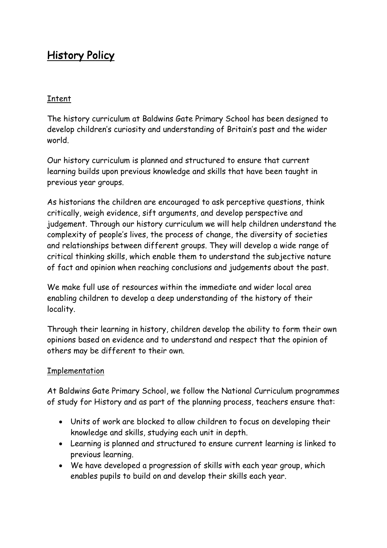## History Policy

## Intent

The history curriculum at Baldwins Gate Primary School has been designed to develop children's curiosity and understanding of Britain's past and the wider world.

Our history curriculum is planned and structured to ensure that current learning builds upon previous knowledge and skills that have been taught in previous year groups.

As historians the children are encouraged to ask perceptive questions, think critically, weigh evidence, sift arguments, and develop perspective and judgement. Through our history curriculum we will help children understand the complexity of people's lives, the process of change, the diversity of societies and relationships between different groups. They will develop a wide range of critical thinking skills, which enable them to understand the subjective nature of fact and opinion when reaching conclusions and judgements about the past.

We make full use of resources within the immediate and wider local area enabling children to develop a deep understanding of the history of their locality.

Through their learning in history, children develop the ability to form their own opinions based on evidence and to understand and respect that the opinion of others may be different to their own.

## Implementation

At Baldwins Gate Primary School, we follow the National Curriculum programmes of study for History and as part of the planning process, teachers ensure that:

- Units of work are blocked to allow children to focus on developing their knowledge and skills, studying each unit in depth.
- Learning is planned and structured to ensure current learning is linked to previous learning.
- We have developed a progression of skills with each year group, which enables pupils to build on and develop their skills each year.